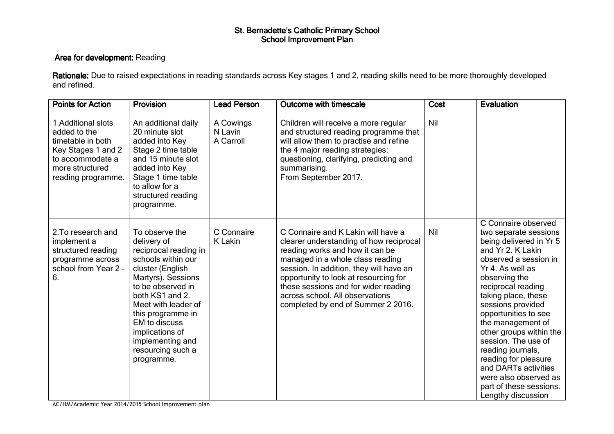## St. Bernadette's Catholic Primary School<br>School Improvement Plan

## Area for development: Reading

**Rationale:** Due to raised expectations in reading standards across Key stages 1 and 2, reading skills need to be more thoroughly developed and refined.

| <b>Points for Action</b>                                                                                                                    | Provision                                                                                                                                                                                                                                                                                                    | <b>Lead Person</b>                | <b>Outcome with timescale</b>                                                                                                                                                                                                                                                                                                                             | <b>Cost</b> | <b>Evaluation</b>                                                                                                                                                                                                                                                                                                                                                                                                                                                          |
|---------------------------------------------------------------------------------------------------------------------------------------------|--------------------------------------------------------------------------------------------------------------------------------------------------------------------------------------------------------------------------------------------------------------------------------------------------------------|-----------------------------------|-----------------------------------------------------------------------------------------------------------------------------------------------------------------------------------------------------------------------------------------------------------------------------------------------------------------------------------------------------------|-------------|----------------------------------------------------------------------------------------------------------------------------------------------------------------------------------------------------------------------------------------------------------------------------------------------------------------------------------------------------------------------------------------------------------------------------------------------------------------------------|
| 1. Additional slots<br>added to the<br>timetable in both<br>Key Stages 1 and 2<br>to accommodate a<br>more structured<br>reading programme. | An additional daily<br>20 minute slot<br>added into Key<br>Stage 2 time table<br>and 15 minute slot<br>added into Key<br>Stage 1 time table<br>to allow for a<br>structured reading<br>programme.                                                                                                            | A Cowings<br>N Lavin<br>A Carroll | Children will receive a more regular<br>and structured reading programme that<br>will allow them to practise and refine<br>the 4 major reading strategies:<br>questioning, clarifying, predicting and<br>summarising.<br>From September 2017.                                                                                                             | Nil         |                                                                                                                                                                                                                                                                                                                                                                                                                                                                            |
| 2. To research and<br>implement a<br>structured reading<br>programme across<br>school from Year 2 -<br>6.                                   | To observe the<br>delivery of<br>reciprocal reading in<br>schools within our<br>cluster (English<br>Martyrs). Sessions<br>to be observed in<br>both KS1 and 2.<br>Meet with leader of<br>this programme in<br><b>EM</b> to discuss<br>implications of<br>implementing and<br>resourcing such a<br>programme. | C Connaire<br>K Lakin             | C Connaire and K Lakin will have a<br>clearer understanding of how reciprocal<br>reading works and how it can be<br>managed in a whole class reading<br>session. In addition, they will have an<br>opportunity to look at resourcing for<br>these sessions and for wider reading<br>across school. All observations<br>completed by end of Summer 2 2016. | Nil         | C Connaire observed<br>two separate sessions<br>being delivered in Yr 5<br>and Yr 2. K Lakin<br>observed a session in<br>Yr 4. As well as<br>observing the<br>reciprocal reading<br>taking place, these<br>sessions provided<br>opportunities to see<br>the management of<br>other groups within the<br>session. The use of<br>reading journals,<br>reading for pleasure<br>and DARTs activities<br>were also observed as<br>part of these sessions.<br>Lengthy discussion |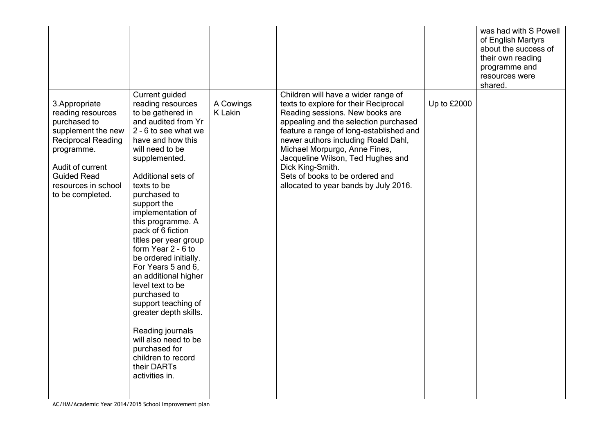|                                                                                                                                                                                                           |                                                                                                                                                                                                                                                                                                                                                                                                                                                                                                                                                                                                                                   |                             |                                                                                                                                                                                                                                                                                                                                                                                                                  |             | was had with S Powell<br>of English Martyrs<br>about the success of<br>their own reading<br>programme and<br>resources were<br>shared. |
|-----------------------------------------------------------------------------------------------------------------------------------------------------------------------------------------------------------|-----------------------------------------------------------------------------------------------------------------------------------------------------------------------------------------------------------------------------------------------------------------------------------------------------------------------------------------------------------------------------------------------------------------------------------------------------------------------------------------------------------------------------------------------------------------------------------------------------------------------------------|-----------------------------|------------------------------------------------------------------------------------------------------------------------------------------------------------------------------------------------------------------------------------------------------------------------------------------------------------------------------------------------------------------------------------------------------------------|-------------|----------------------------------------------------------------------------------------------------------------------------------------|
| 3. Appropriate<br>reading resources<br>purchased to<br>supplement the new<br><b>Reciprocal Reading</b><br>programme.<br>Audit of current<br><b>Guided Read</b><br>resources in school<br>to be completed. | Current guided<br>reading resources<br>to be gathered in<br>and audited from Yr<br>2 - 6 to see what we<br>have and how this<br>will need to be<br>supplemented.<br>Additional sets of<br>texts to be<br>purchased to<br>support the<br>implementation of<br>this programme. A<br>pack of 6 fiction<br>titles per year group<br>form Year 2 - 6 to<br>be ordered initially.<br>For Years 5 and 6,<br>an additional higher<br>level text to be<br>purchased to<br>support teaching of<br>greater depth skills.<br>Reading journals<br>will also need to be<br>purchased for<br>children to record<br>their DARTs<br>activities in. | A Cowings<br><b>K</b> Lakin | Children will have a wider range of<br>texts to explore for their Reciprocal<br>Reading sessions. New books are<br>appealing and the selection purchased<br>feature a range of long-established and<br>newer authors including Roald Dahl,<br>Michael Morpurgo, Anne Fines,<br>Jacqueline Wilson, Ted Hughes and<br>Dick King-Smith.<br>Sets of books to be ordered and<br>allocated to year bands by July 2016. | Up to £2000 |                                                                                                                                        |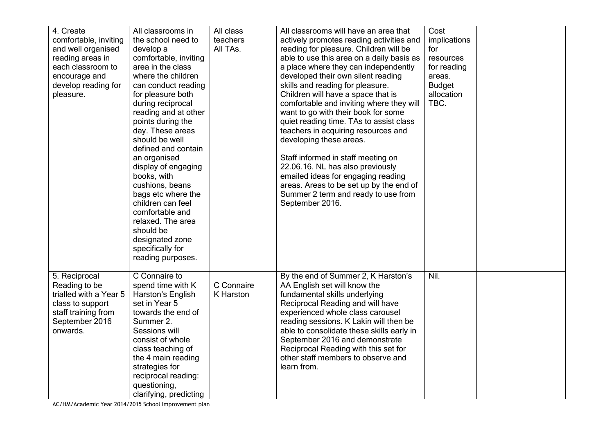| 4. Create              | All classrooms in      | All class  | All classrooms will have an area that     | Cost          |  |
|------------------------|------------------------|------------|-------------------------------------------|---------------|--|
| comfortable, inviting  | the school need to     | teachers   | actively promotes reading activities and  | implications  |  |
| and well organised     | develop a              | All TAs.   | reading for pleasure. Children will be    | for           |  |
| reading areas in       | comfortable, inviting  |            | able to use this area on a daily basis as | resources     |  |
| each classroom to      | area in the class      |            | a place where they can independently      | for reading   |  |
| encourage and          | where the children     |            | developed their own silent reading        | areas.        |  |
| develop reading for    | can conduct reading    |            | skills and reading for pleasure.          | <b>Budget</b> |  |
| pleasure.              | for pleasure both      |            | Children will have a space that is        | allocation    |  |
|                        | during reciprocal      |            | comfortable and inviting where they will  | TBC.          |  |
|                        | reading and at other   |            | want to go with their book for some       |               |  |
|                        | points during the      |            | quiet reading time. TAs to assist class   |               |  |
|                        | day. These areas       |            | teachers in acquiring resources and       |               |  |
|                        | should be well         |            | developing these areas.                   |               |  |
|                        | defined and contain    |            |                                           |               |  |
|                        | an organised           |            | Staff informed in staff meeting on        |               |  |
|                        | display of engaging    |            | 22.06.16. NL has also previously          |               |  |
|                        | books, with            |            | emailed ideas for engaging reading        |               |  |
|                        | cushions, beans        |            | areas. Areas to be set up by the end of   |               |  |
|                        | bags etc where the     |            | Summer 2 term and ready to use from       |               |  |
|                        | children can feel      |            | September 2016.                           |               |  |
|                        | comfortable and        |            |                                           |               |  |
|                        | relaxed. The area      |            |                                           |               |  |
|                        | should be              |            |                                           |               |  |
|                        | designated zone        |            |                                           |               |  |
|                        | specifically for       |            |                                           |               |  |
|                        | reading purposes.      |            |                                           |               |  |
|                        |                        |            |                                           |               |  |
| 5. Reciprocal          | C Connaire to          |            | By the end of Summer 2, K Harston's       | Nil.          |  |
| Reading to be          | spend time with K      | C Connaire | AA English set will know the              |               |  |
| trialled with a Year 5 | Harston's English      | K Harston  | fundamental skills underlying             |               |  |
| class to support       | set in Year 5          |            | Reciprocal Reading and will have          |               |  |
| staff training from    | towards the end of     |            | experienced whole class carousel          |               |  |
| September 2016         | Summer 2.              |            | reading sessions. K Lakin will then be    |               |  |
| onwards.               | Sessions will          |            | able to consolidate these skills early in |               |  |
|                        | consist of whole       |            | September 2016 and demonstrate            |               |  |
|                        | class teaching of      |            | Reciprocal Reading with this set for      |               |  |
|                        | the 4 main reading     |            | other staff members to observe and        |               |  |
|                        | strategies for         |            | learn from.                               |               |  |
|                        | reciprocal reading:    |            |                                           |               |  |
|                        | questioning,           |            |                                           |               |  |
|                        | clarifying, predicting |            |                                           |               |  |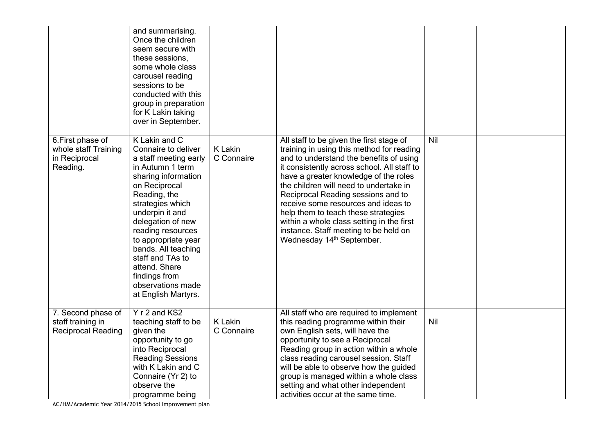|                                                                        | and summarising.<br>Once the children<br>seem secure with<br>these sessions,<br>some whole class<br>carousel reading<br>sessions to be<br>conducted with this<br>group in preparation<br>for K Lakin taking<br>over in September.                                                                                                                                          |                              |                                                                                                                                                                                                                                                                                                                                                                                                                                                                                                                       |     |  |
|------------------------------------------------------------------------|----------------------------------------------------------------------------------------------------------------------------------------------------------------------------------------------------------------------------------------------------------------------------------------------------------------------------------------------------------------------------|------------------------------|-----------------------------------------------------------------------------------------------------------------------------------------------------------------------------------------------------------------------------------------------------------------------------------------------------------------------------------------------------------------------------------------------------------------------------------------------------------------------------------------------------------------------|-----|--|
| 6. First phase of<br>whole staff Training<br>in Reciprocal<br>Reading. | K Lakin and C<br>Connaire to deliver<br>a staff meeting early<br>in Autumn 1 term<br>sharing information<br>on Reciprocal<br>Reading, the<br>strategies which<br>underpin it and<br>delegation of new<br>reading resources<br>to appropriate year<br>bands. All teaching<br>staff and TAs to<br>attend. Share<br>findings from<br>observations made<br>at English Martyrs. | <b>K</b> Lakin<br>C Connaire | All staff to be given the first stage of<br>training in using this method for reading<br>and to understand the benefits of using<br>it consistently across school. All staff to<br>have a greater knowledge of the roles<br>the children will need to undertake in<br>Reciprocal Reading sessions and to<br>receive some resources and ideas to<br>help them to teach these strategies<br>within a whole class setting in the first<br>instance. Staff meeting to be held on<br>Wednesday 14 <sup>th</sup> September. | Nil |  |
| 7. Second phase of<br>staff training in<br><b>Reciprocal Reading</b>   | Y r 2 and KS2<br>teaching staff to be<br>given the<br>opportunity to go<br>into Reciprocal<br><b>Reading Sessions</b><br>with K Lakin and C<br>Connaire (Yr 2) to<br>observe the<br>programme being                                                                                                                                                                        | <b>K</b> Lakin<br>C Connaire | All staff who are required to implement<br>this reading programme within their<br>own English sets, will have the<br>opportunity to see a Reciprocal<br>Reading group in action within a whole<br>class reading carousel session. Staff<br>will be able to observe how the guided<br>group is managed within a whole class<br>setting and what other independent<br>activities occur at the same time.                                                                                                                | Nil |  |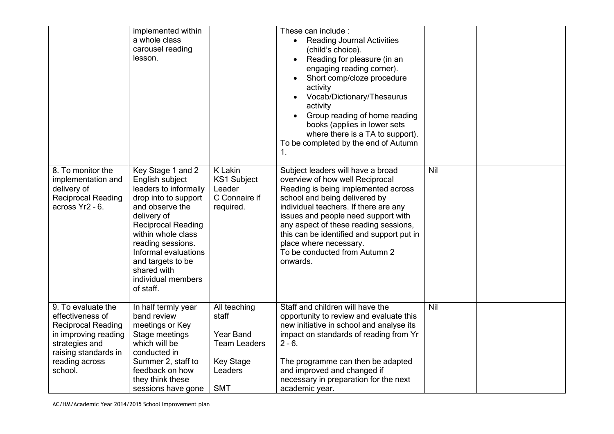|                                                                                                                                                                    | implemented within<br>a whole class<br>carousel reading<br>lesson.                                                                                                                                                                                                                             |                                                                                                               | These can include :<br><b>Reading Journal Activities</b><br>(child's choice).<br>Reading for pleasure (in an<br>engaging reading corner).<br>Short comp/cloze procedure<br>activity<br>Vocab/Dictionary/Thesaurus<br>activity<br>Group reading of home reading<br>books (applies in lower sets<br>where there is a TA to support).<br>To be completed by the end of Autumn<br>1.          |     |  |
|--------------------------------------------------------------------------------------------------------------------------------------------------------------------|------------------------------------------------------------------------------------------------------------------------------------------------------------------------------------------------------------------------------------------------------------------------------------------------|---------------------------------------------------------------------------------------------------------------|-------------------------------------------------------------------------------------------------------------------------------------------------------------------------------------------------------------------------------------------------------------------------------------------------------------------------------------------------------------------------------------------|-----|--|
| 8. To monitor the<br>implementation and<br>delivery of<br><b>Reciprocal Reading</b><br>across Yr2 - 6.                                                             | Key Stage 1 and 2<br>English subject<br>leaders to informally<br>drop into to support<br>and observe the<br>delivery of<br><b>Reciprocal Reading</b><br>within whole class<br>reading sessions.<br>Informal evaluations<br>and targets to be<br>shared with<br>individual members<br>of staff. | K Lakin<br><b>KS1 Subject</b><br>Leader<br>C Connaire if<br>required.                                         | Subject leaders will have a broad<br>overview of how well Reciprocal<br>Reading is being implemented across<br>school and being delivered by<br>individual teachers. If there are any<br>issues and people need support with<br>any aspect of these reading sessions,<br>this can be identified and support put in<br>place where necessary.<br>To be conducted from Autumn 2<br>onwards. | Nil |  |
| 9. To evaluate the<br>effectiveness of<br><b>Reciprocal Reading</b><br>in improving reading<br>strategies and<br>raising standards in<br>reading across<br>school. | In half termly year<br>band review<br>meetings or Key<br>Stage meetings<br>which will be<br>conducted in<br>Summer 2, staff to<br>feedback on how<br>they think these<br>sessions have gone                                                                                                    | All teaching<br>staff<br><b>Year Band</b><br><b>Team Leaders</b><br><b>Key Stage</b><br>Leaders<br><b>SMT</b> | Staff and children will have the<br>opportunity to review and evaluate this<br>new initiative in school and analyse its<br>impact on standards of reading from Yr<br>$2 - 6.$<br>The programme can then be adapted<br>and improved and changed if<br>necessary in preparation for the next<br>academic year.                                                                              | Nil |  |